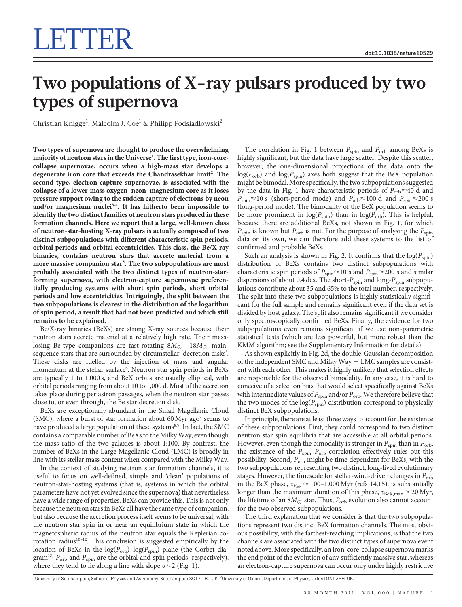## Two populations of X-ray pulsars produced by two types of supernova

Christian Knigge<sup>1</sup>, Malcolm J. Coe<sup>1</sup> & Philipp Podsiadlowski<sup>2</sup>

Two types of supernova are thought to produce the overwhelming majority of neutron stars in the Universe<sup>1</sup>. The first type, iron-corecollapse supernovae, occurs when a high-mass star develops a degenerate iron core that exceeds the Chandrasekhar limit<sup>2</sup>. The second type, electron-capture supernovae, is associated with the collapse of a lower-mass oxygen–neon–magnesium core as it loses pressure support owing to the sudden capture of electrons by neon and/or magnesium nuclei<sup>3,4</sup>. It has hitherto been impossible to identify the two distinct families of neutron stars produced in these formation channels. Here we report that a large, well-known class of neutron-star-hosting X-ray pulsars is actually composed of two distinct subpopulations with different characteristic spin periods, orbital periods and orbital eccentricities. This class, the Be/X-ray binaries, contains neutron stars that accrete material from a more massive companion star<sup>5</sup>. The two subpopulations are most probably associated with the two distinct types of neutron-starforming supernova, with electron-capture supernovae preferentially producing systems with short spin periods, short orbital periods and low eccentricities. Intriguingly, the split between the two subpopulations is clearest in the distribution of the logarithm of spin period, a result that had not been predicted and which still remains to be explained.

Be/X-ray binaries (BeXs) are strong X-ray sources because their neutron stars accrete material at a relatively high rate. Their masslosing Be-type companions are fast-rotating  $8M_{\odot} - 18M_{\odot}$  mainsequence stars that are surrounded by circumstellar 'decretion disks'. These disks are fuelled by the injection of mass and angular momentum at the stellar surface<sup>6</sup>. Neutron star spin periods in BeXs are typically 1 to 1,000 s, and BeX orbits are usually elliptical, with orbital periods ranging from about 10 to 1,000 d. Most of the accretion takes place during periastron passages, when the neutron star passes close to, or even through, the Be star decretion disk.

BeXs are exceptionally abundant in the Small Magellanic Cloud (SMC), where a burst of star formation about 60 Myr ago<sup>7</sup> seems to have produced a large population of these systems<sup>8,9</sup>. In fact, the SMC contains a comparable number of BeXs to the Milky Way, even though the mass ratio of the two galaxies is about 1:100. By contrast, the number of BeXs in the Large Magellanic Cloud (LMC) is broadly in line with its stellar mass content when compared with the Milky Way.

In the context of studying neutron star formation channels, it is useful to focus on well-defined, simple and 'clean' populations of neutron-star-hosting systems (that is, systems in which the orbital parameters have not yet evolved since the supernova) that nevertheless have a wide range of properties. BeXs can provide this. This is not only because the neutron stars in BeXs all have the same type of companion, but also because the accretion process itself seems to be universal, with the neutron star spin in or near an equilibrium state in which the magnetospheric radius of the neutron star equals the Keplerian corotation radius $10-12$ . This conclusion is suggested empirically by the location of BeXs in the  $log(P_{\text{orb}})$ –log( $P_{\text{spin}}$ ) plane (the Corbet diagram<sup>13</sup>;  $P_{\text{orb}}$  and  $P_{\text{spin}}$  are the orbital and spin periods, respectively), where they tend to lie along a line with slope  $\alpha \approx 2$  (Fig. 1).

The correlation in Fig. 1 between  $P_{spin}$  and  $P_{orb}$  among BeXs is highly significant, but the data have large scatter. Despite this scatter, however, the one-dimensional projections of the data onto the  $log(P<sub>orb</sub>)$  and  $log(P<sub>spin</sub>)$  axes both suggest that the BeX population might be bimodal. More specifically, the two subpopulations suggested by the data in Fig. 1 have characteristic periods of  $P_{\text{orb}} \approx 40$  d and  $P_{spin} \approx 10$  s (short-period mode) and  $P_{orb} \approx 100$  d and  $P_{spin} \approx 200$  s (long-period mode). The bimodality of the BeX population seems to be more prominent in  $log(P_{spin})$  than in  $log(P_{orb})$ . This is helpful, because there are additional BeXs, not shown in Fig. 1, for which  $P_{\text{spin}}$  is known but  $P_{\text{orb}}$  is not. For the purpose of analysing the  $P_{\text{spin}}$ data on its own, we can therefore add these systems to the list of confirmed and probable BeXs.

Such an analysis is shown in Fig. 2. It confirms that the  $log(P_{spin})$ distribution of BeXs contains two distinct subpopulations with characteristic spin periods of  $P_{spin} \approx 10$  s and  $P_{spin} \approx 200$  s and similar dispersions of about 0.4 dex. The short- $P_{\text{spin}}$  and long- $P_{\text{spin}}$  subpopulations contribute about 35 and 65% to the total number, respectively. The split into these two subpopulations is highly statistically significant for the full sample and remains significant even if the data set is divided by host galaxy. The split also remains significant if we consider only spectroscopically confirmed BeXs. Finally, the evidence for two subpopulations even remains significant if we use non-parametric statistical tests (which are less powerful, but more robust than the KMM algorithm; see the Supplementary Information for details).

As shown explicitly in Fig. 2d, the double-Gaussian decomposition of the independent SMC and Milky  $Way + LMC$  samples are consistent with each other. This makes it highly unlikely that selection effects are responsible for the observed bimodality. In any case, it is hard to conceive of a selection bias that would select specifically against BeXs with intermediate values of  $P_{\rm spin}$  and/or  $P_{\rm orb}$ . We therefore believe that the two modes of the  $log(P_{spin})$  distribution correspond to physically distinct BeX subpopulations.

In principle, there are at least three ways to account for the existence of these subpopulations. First, they could correspond to two distinct neutron star spin equilibria that are accessible at all orbital periods. However, even though the bimodality is stronger in  $P_{\text{spin}}$  than in  $P_{\text{orb}}$ , the existence of the  $P_{\text{spin}}-P_{\text{orb}}$  correlation effectively rules out this possibility. Second,  $P_{\text{orb}}$  might be time dependent for BeXs, with the two subpopulations representing two distinct, long-lived evolutionary stages. However, the timescale for stellar-wind-driven changes in  $P_{\text{orb}}$ in the BeX phase,  $\tau_{P_{\text{orb}}} \approx 100-1,000 \text{ Myr}$  (refs 14,15), is substantially longer than the maximum duration of this phase,  $\tau_{\rm BeX, max} \approx 20$  Myr, the lifetime of an  $8M_\odot$  star. Thus,  $P_{\rm orb}$  evolution also cannot account for the two observed subpopulations.

The third explanation that we consider is that the two subpopulations represent two distinct BeX formation channels. The most obvious possibility, with the farthest-reaching implications, is that the two channels are associated with the two distinct types of supernova event noted above. More specifically, an iron-core-collapse supernova marks the end point of the evolution of any sufficiently massive star, whereas an electron-capture supernova can occur only under highly restrictive

<sup>1</sup>University of Southampton, School of Physics and Astronomy, Southampton SO17 1BJ, UK. <sup>2</sup>University of Oxford, Department of Physics, Oxford OX1 3RH, UK.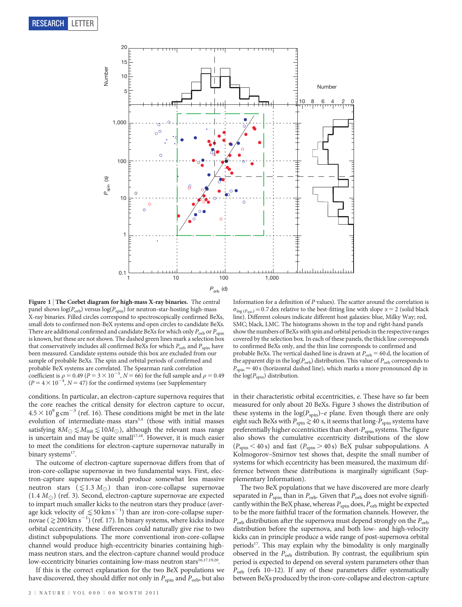

Figure 1 | The Corbet diagram for high-mass X-ray binaries. The central panel shows  $\log(P_\mathrm{orb})$  versus  $\log(P_\mathrm{spin})$  for neutron-star-hosting high-mass X-ray binaries. Filled circles correspond to spectroscopically confirmed BeXs, small dots to confirmed non-BeX systems and open circles to candidate BeXs. There are additional confirmed and candidate BeXs for which only  $P_{\text{orb}}$  or  $P_{\text{spin}}$ is known, but these are not shown. The dashed green lines mark a selection box that conservatively includes all confirmed BeXs for which  $P_{\text{orb}}$  and  $P_{\text{spin}}$  have been measured. Candidate systems outside this box are excluded from our sample of probable BeXs. The spin and orbital periods of confirmed and probable BeX systems are correlated. The Spearman rank correlation coefficient is  $\rho = 0.49$  ( $P = 3 \times 10^{-5}$ ,  $N = 66$ ) for the full sample and  $\rho = 0.49$  $(P = 4 \times 10^{-4}, N = 47)$  for the confirmed systems (see Supplementary

conditions. In particular, an electron-capture supernova requires that the core reaches the critical density for electron capture to occur,  $4.5 \times 10^{9}$  g cm<sup>-3</sup> (ref. 16). These conditions might be met in the late evolution of intermediate-mass stars<sup>3,4</sup> (those with initial masses satisfying  $8M_{\odot} \lesssim M_{\text{init}} \lesssim 10M_{\odot}$ ), although the relevant mass range is uncertain and may be quite small<sup>17,18</sup>. However, it is much easier to meet the conditions for electron-capture supernovae naturally in binary systems<sup>17</sup>.

The outcome of electron-capture supernovae differs from that of iron-core-collapse supernovae in two fundamental ways. First, electron-capture supernovae should produce somewhat less massive neutron stars  $(\leq 1.3 M_{\odot})$  than iron-core-collapse supernovae  $(1.4 M_{\odot})$  (ref. 3). Second, electron-capture supernovae are expected to impart much smaller kicks to the neutron stars they produce (average kick velocity of  $\leq 50 \text{ km s}^{-1}$ ) than are iron-core-collapse supernovae ( $\gtrsim$  200 km s<sup>-1</sup>) (ref. 17). In binary systems, where kicks induce orbital eccentricity, these differences could naturally give rise to two distinct subpopulations. The more conventional iron-core-collapse channel would produce high-eccentricity binaries containing highmass neutron stars, and the electron-capture channel would produce low-eccentricity binaries containing low-mass neutron stars<sup>16,17,19,20</sup>.

If this is the correct explanation for the two BeX populations we have discovered, they should differ not only in  $P_{\rm spin}$  and  $P_{\rm orb}$  but also

 $\sigma_{\log (P_{\text{spin}})}$  = 0.7 dex relative to the best-fitting line with slope  $\alpha$  = 2 (solid black line). Different colours indicate different host galaxies: blue, Milky Way; red, SMC; black, LMC. The histograms shown in the top and right-hand panels show the numbers of BeXs with spin and orbital periods in the respective ranges covered by the selection box. In each of these panels, the thick line corresponds to confirmed BeXs only, and the thin line corresponds to confirmed and probable BeXs. The vertical dashed line is drawn at  $P_{\text{orb}} = 60$  d, the location of the apparent dip in the log( $P_{\rm orb}$ ) distribution. This value of  $P_{\rm orb}$  corresponds to  $P_{\text{spin}} \approx 40 \text{ s}$  (horizontal dashed line), which marks a more pronounced dip in the  $log(P_{spin})$  distribution.

in their characteristic orbital eccentricities, e. These have so far been measured for only about 20 BeXs. Figure 3 shows the distribution of these systems in the  $log(P_{spin})-e$  plane. Even though there are only eight such BeXs with  $P_{\text{spin}}\gtrsim40$  s, it seems that long- $P_{\text{spin}}$  systems have preferentially higher eccentricities than short- $P_{\text{spin}}$  systems. The figure also shows the cumulative eccentricity distributions of the slow  $(P_{spin} < 40 \text{ s})$  and fast  $(P_{spin} > 40 \text{ s})$  BeX pulsar subpopulations. A Kolmogorov–Smirnov test shows that, despite the small number of systems for which eccentricity has been measured, the maximum difference between these distributions is marginally significant (Supplementary Information).

The two BeX populations that we have discovered are more clearly separated in  $P_{spin}$  than in  $P_{orb}$ . Given that  $P_{orb}$  does not evolve significantly within the BeX phase, whereas  $P_{\rm spin}$  does,  $P_{\rm orb}$  might be expected to be the more faithful tracer of the formation channels. However, the  $P_{\rm orb}$  distribution after the supernova must depend strongly on the  $P_{\rm orb}$ distribution before the supernova, and both low- and high-velocity kicks can in principle produce a wide range of post-supernova orbital periods<sup>17</sup>. This may explain why the bimodality is only marginally observed in the  $P_{\text{orb}}$  distribution. By contrast, the equilibrium spin period is expected to depend on several system parameters other than  $P_{\rm orb}$  (refs 10–12). If any of these parameters differ systematically between BeXs produced by the iron-core-collapse and electron-capture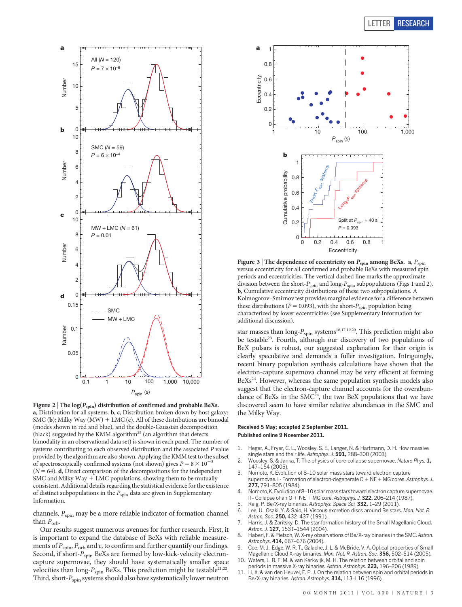

Figure 2 | The log $(P_{spin})$  distribution of confirmed and probable BeXs. a, Distribution for all systems. b, c, Distribution broken down by host galaxy: SMC (b); Milky Way (MW) + LMC (c). All of these distributions are bimodal (modes shown in red and blue), and the double-Gaussian decomposition (black) suggested by the KMM algorithm<sup>25</sup> (an algorithm that detects bimodality in an observational data set) is shown in each panel. The number of systems contributing to each observed distribution and the associated P value provided by the algorithm are also shown. Applying the KMM test to the subset of spectroscopically confirmed systems (not shown) gives  $P = 8 \times 10^{-3}$  $(N = 64)$ . d, Direct comparison of the decompositions for the independent SMC and Milky Way  $+$  LMC populations, showing them to be mutually consistent. Additional details regarding the statistical evidence for the existence of distinct subpopulations in the  $P_{\rm spin}$  data are given in Supplementary Information.

channels,  $P_{spin}$  may be a more reliable indicator of formation channel than  $P_{\rm orb}$ .

Our results suggest numerous avenues for further research. First, it is important to expand the database of BeXs with reliable measurements of  $P_{\text{spin}}$ ,  $P_{\text{orb}}$  and  $e$ , to confirm and further quantify our findings. Second, if short- $P_{\text{spin}}$  BeXs are formed by low-kick-velocity electroncapture supernovae, they should have systematically smaller space velocities than long- $P_{\text{spin}}$  BeXs. This prediction might be testable<sup>21,22</sup>. Third, short- $P_{spin}$  systems should also have systematically lower neutron



Figure 3 | The dependence of eccentricity on  $P_{\text{spin}}$  among BeXs. a,  $P_{\text{spin}}$ versus eccentricity for all confirmed and probable BeXs with measured spin periods and eccentricities. The vertical dashed line marks the approximate division between the short- $P_{\text{spin}}$  and long- $P_{\text{spin}}$  subpopulations (Figs 1 and 2). b, Cumulative eccentricity distributions of these two subpopulations. A Kolmogorov–Smirnov test provides marginal evidence for a difference between these distributions ( $P = 0.093$ ), with the short- $P_{spin}$  population being characterized by lower eccentricities (see Supplementary Information for additional discussion).

star masses than  $\text{long-}P_{\text{spin}}$  systems<sup>16,17,19,20</sup>. This prediction might also be testable<sup>23</sup>. Fourth, although our discovery of two populations of BeX pulsars is robust, our suggested explanation for their origin is clearly speculative and demands a fuller investigation. Intriguingly, recent binary population synthesis calculations have shown that the electron-capture supernova channel may be very efficient at forming BeXs<sup>24</sup>. However, whereas the same population synthesis models also suggest that the electron-capture channel accounts for the overabundance of BeXs in the  $SMC<sup>24</sup>$ , the two BeX populations that we have discovered seem to have similar relative abundances in the SMC and the Milky Way.

## Received 5 May; accepted 2 September 2011. Published online 9 November 2011.

- 1. Heger, A., Fryer, C. L., Woosley, S. E., Langer, N. & Hartmann, D. H. How massive single stars end their life. Astrophys. J. 591, 288-300 (2003).
- 2. Woosley, S. & Janka, T. The physics of core-collapse supernovae. Nature Phys. 1, 147–154 (2005).
- Nomoto, K. Evolution of 8–10 solar mass stars toward electron capture supernovae. I - Formation of electron-degenerate O + NE + MG cores. Astrophys. J. 277, 791–805 (1984).
- 4. Nomoto, K. Evolution of 8–10 solar mass stars toward electron capture supernovae. II - Collapse of an  $O + NE + MG$  core. Astrophys. J. 322, 206–214 (1987).
- 5. Reig, P. Be/X-ray binaries. Astrophys. Space Sci. 332, 1-29 (2011).<br>6. Lee, U., Osaki, Y. & Saio, H. Viscous excretion discs around Be stars
- 6. Lee, U., Osaki, Y. & Saio, H. Viscous excretion discs around Be stars. Mon. Not. R. Astron. Soc. 250, 432-437 (1991).
- 7. Harris, J. & Zaritsky, D. The star formation history of the Small Magellanic Cloud. Astron. J. 127, 1531–1544 (2004).
- 8. Haberl, F. & Pietsch, W. X-ray observations of Be/X-ray binaries in the SMC. Astron. Astrophys. 414, 667-676 (2004).
- 9. Coe, M. J., Edge, W. R. T., Galache, J. L. & McBride, V. A. Optical properties of Small Magellanic Cloud X-ray binaries. Mon. Not. R. Astron. Soc. 356, 502-514 (2005).
- 10. Waters, L. B. F. M. & van Kerkwijk, M. H. The relation between orbital and spin periods in massive X-ray binaries. Astron. Astrophys. 223, 196-206 (1989).
- 11. Li, X. & van den Heuvel, E. P. J. On the relation between spin and orbital periods in Be/X-ray binaries. Astron. Astrophys. 314, L13-L16 (1996).